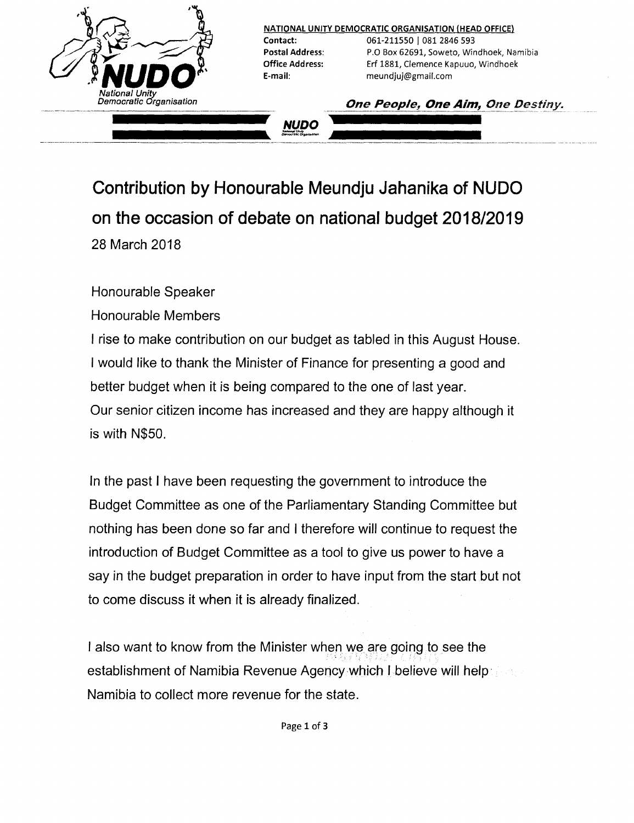

**Contribution by Honourable Meundju Jahanika of NUDO on the occasion of debate on national budget** *2018/2019* 28 March 2018

Honourable Speaker

Honourable Members

I rise to make contribution on our budget as tabled in this August House. I would like to thank the Minister of Finance for presenting a good and better budget when it is being compared to the one of last year. Our senior citizen income has increased and they are happy although it is with N\$50.

In the past I have been requesting the government to introduce the Budget Committee as one of the Parliamentary Standing Committee but nothing has been done so far and I therefore will continue to request the introduction of Budget Committee as a tool to give us power to have a say in the budget preparation in order to have input from the start but not to come discuss it when it is already finalized.

I also want to know from the Minister when we are going to see the establishment of Namibia Revenue Agency which I believe will help Namibia to collect more revenue for the state.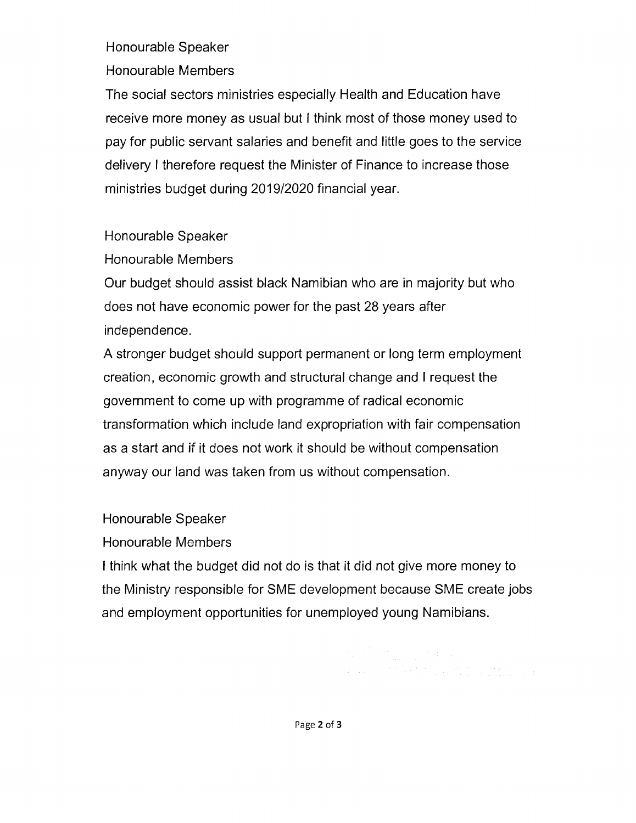#### Honourable Speaker

Honourable Members

The social sectors ministries especially Health and Education have receive more money as usual but I think most of those money used to pay for public servant salaries and benefit and little goes to the service delivery I therefore request the Minister of Finance to increase those ministries budget during *2019/2020* financial year.

## Honourable Speaker

Honourable Members

Our budget should assist black Namibian who are in majority but who does not have economic power for the past 28 years after independence.

A stronger budget should support permanent or long term employment creation, economic growth and structural change and I request the government to come up with programme of radical economic transformation which include land expropriation with fair compensation as a start and if it does not work it should be without compensation anyway our land was taken from us without compensation.

Honourable Speaker

Honourable Members

I think what the budget did not do is that it did not give more money to the Ministry responsible for SME development because SME create jobs and employment opportunities for unemployed young Namibians.

a na matamatika Mareka<br>1980 - Parti dan Katalunan terbang kabupat